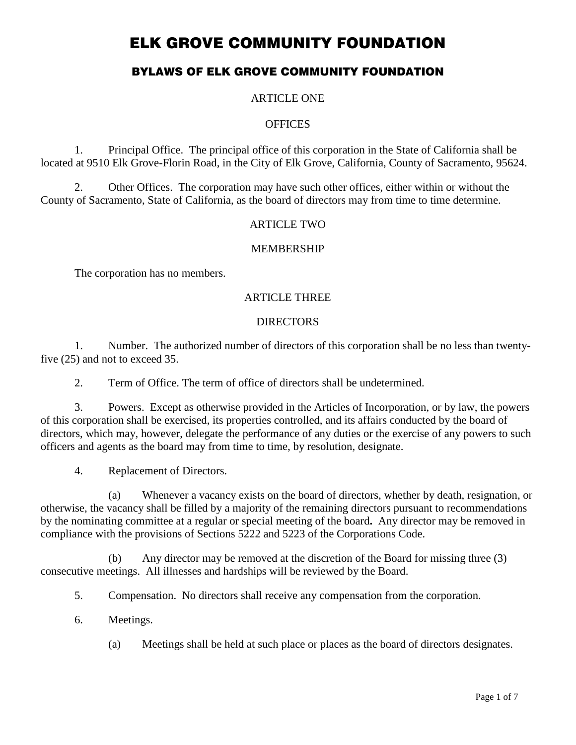# **BYLAWS OF ELK GROVE COMMUNITY FOUNDATION**

### ARTICLE ONE

#### **OFFICES**

1. Principal Office. The principal office of this corporation in the State of California shall be located at 9510 Elk Grove-Florin Road, in the City of Elk Grove, California, County of Sacramento, 95624.

2. Other Offices. The corporation may have such other offices, either within or without the County of Sacramento, State of California, as the board of directors may from time to time determine.

### ARTICLE TWO

### MEMBERSHIP

The corporation has no members.

## ARTICLE THREE

### DIRECTORS

1. Number. The authorized number of directors of this corporation shall be no less than twentyfive (25) and not to exceed 35.

2. Term of Office. The term of office of directors shall be undetermined.

3. Powers. Except as otherwise provided in the Articles of Incorporation, or by law, the powers of this corporation shall be exercised, its properties controlled, and its affairs conducted by the board of directors, which may, however, delegate the performance of any duties or the exercise of any powers to such officers and agents as the board may from time to time, by resolution, designate.

4. Replacement of Directors.

(a) Whenever a vacancy exists on the board of directors, whether by death, resignation, or otherwise, the vacancy shall be filled by a majority of the remaining directors pursuant to recommendations by the nominating committee at a regular or special meeting of the board**.** Any director may be removed in compliance with the provisions of Sections 5222 and 5223 of the Corporations Code.

(b) Any director may be removed at the discretion of the Board for missing three (3) consecutive meetings. All illnesses and hardships will be reviewed by the Board.

5. Compensation. No directors shall receive any compensation from the corporation.

- 6. Meetings.
	- (a) Meetings shall be held at such place or places as the board of directors designates.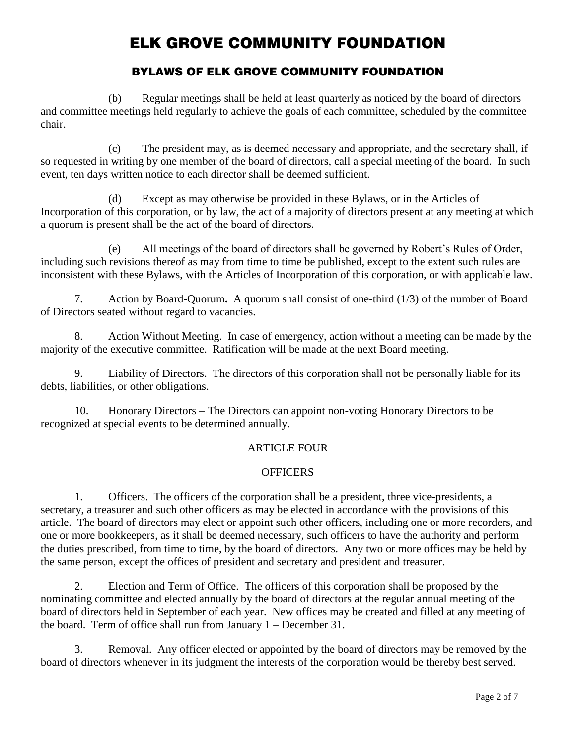# **BYLAWS OF ELK GROVE COMMUNITY FOUNDATION**

(b) Regular meetings shall be held at least quarterly as noticed by the board of directors and committee meetings held regularly to achieve the goals of each committee, scheduled by the committee chair.

(c) The president may, as is deemed necessary and appropriate, and the secretary shall, if so requested in writing by one member of the board of directors, call a special meeting of the board. In such event, ten days written notice to each director shall be deemed sufficient.

(d) Except as may otherwise be provided in these Bylaws, or in the Articles of Incorporation of this corporation, or by law, the act of a majority of directors present at any meeting at which a quorum is present shall be the act of the board of directors.

(e) All meetings of the board of directors shall be governed by Robert's Rules of Order, including such revisions thereof as may from time to time be published, except to the extent such rules are inconsistent with these Bylaws, with the Articles of Incorporation of this corporation, or with applicable law.

7. Action by Board-Quorum**.** A quorum shall consist of one-third (1/3) of the number of Board of Directors seated without regard to vacancies.

8. Action Without Meeting. In case of emergency, action without a meeting can be made by the majority of the executive committee. Ratification will be made at the next Board meeting.

Liability of Directors. The directors of this corporation shall not be personally liable for its debts, liabilities, or other obligations.

10. Honorary Directors – The Directors can appoint non-voting Honorary Directors to be recognized at special events to be determined annually.

## ARTICLE FOUR

#### **OFFICERS**

1. Officers. The officers of the corporation shall be a president, three vice-presidents, a secretary, a treasurer and such other officers as may be elected in accordance with the provisions of this article. The board of directors may elect or appoint such other officers, including one or more recorders, and one or more bookkeepers, as it shall be deemed necessary, such officers to have the authority and perform the duties prescribed, from time to time, by the board of directors. Any two or more offices may be held by the same person, except the offices of president and secretary and president and treasurer.

2. Election and Term of Office. The officers of this corporation shall be proposed by the nominating committee and elected annually by the board of directors at the regular annual meeting of the board of directors held in September of each year. New offices may be created and filled at any meeting of the board. Term of office shall run from January 1 – December 31.

3. Removal. Any officer elected or appointed by the board of directors may be removed by the board of directors whenever in its judgment the interests of the corporation would be thereby best served.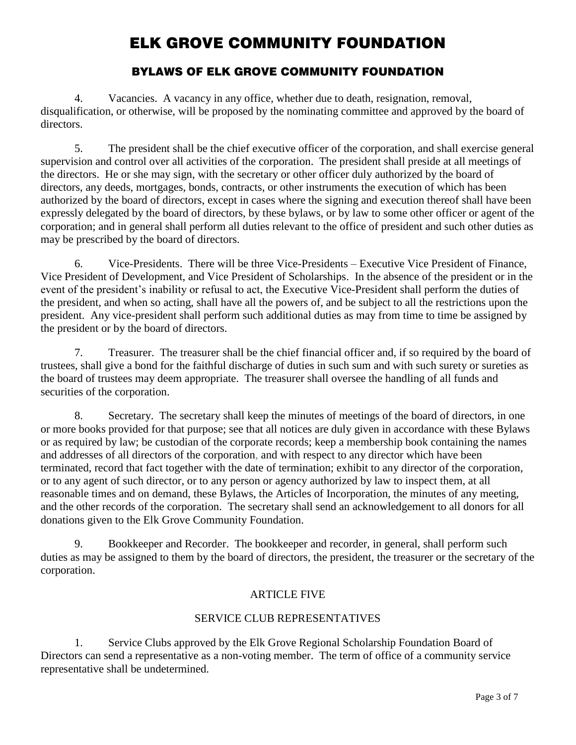# **BYLAWS OF ELK GROVE COMMUNITY FOUNDATION**

4. Vacancies. A vacancy in any office, whether due to death, resignation, removal, disqualification, or otherwise, will be proposed by the nominating committee and approved by the board of directors.

5. The president shall be the chief executive officer of the corporation, and shall exercise general supervision and control over all activities of the corporation. The president shall preside at all meetings of the directors. He or she may sign, with the secretary or other officer duly authorized by the board of directors, any deeds, mortgages, bonds, contracts, or other instruments the execution of which has been authorized by the board of directors, except in cases where the signing and execution thereof shall have been expressly delegated by the board of directors, by these bylaws, or by law to some other officer or agent of the corporation; and in general shall perform all duties relevant to the office of president and such other duties as may be prescribed by the board of directors.

6. Vice-Presidents. There will be three Vice-Presidents – Executive Vice President of Finance, Vice President of Development, and Vice President of Scholarships. In the absence of the president or in the event of the president's inability or refusal to act, the Executive Vice-President shall perform the duties of the president, and when so acting, shall have all the powers of, and be subject to all the restrictions upon the president. Any vice-president shall perform such additional duties as may from time to time be assigned by the president or by the board of directors.

7. Treasurer. The treasurer shall be the chief financial officer and, if so required by the board of trustees, shall give a bond for the faithful discharge of duties in such sum and with such surety or sureties as the board of trustees may deem appropriate. The treasurer shall oversee the handling of all funds and securities of the corporation.

8. Secretary. The secretary shall keep the minutes of meetings of the board of directors, in one or more books provided for that purpose; see that all notices are duly given in accordance with these Bylaws or as required by law; be custodian of the corporate records; keep a membership book containing the names and addresses of all directors of the corporation, and with respect to any director which have been terminated, record that fact together with the date of termination; exhibit to any director of the corporation, or to any agent of such director, or to any person or agency authorized by law to inspect them, at all reasonable times and on demand, these Bylaws, the Articles of Incorporation, the minutes of any meeting, and the other records of the corporation. The secretary shall send an acknowledgement to all donors for all donations given to the Elk Grove Community Foundation.

9. Bookkeeper and Recorder. The bookkeeper and recorder, in general, shall perform such duties as may be assigned to them by the board of directors, the president, the treasurer or the secretary of the corporation.

## ARTICLE FIVE

## SERVICE CLUB REPRESENTATIVES

1. Service Clubs approved by the Elk Grove Regional Scholarship Foundation Board of Directors can send a representative as a non-voting member. The term of office of a community service representative shall be undetermined.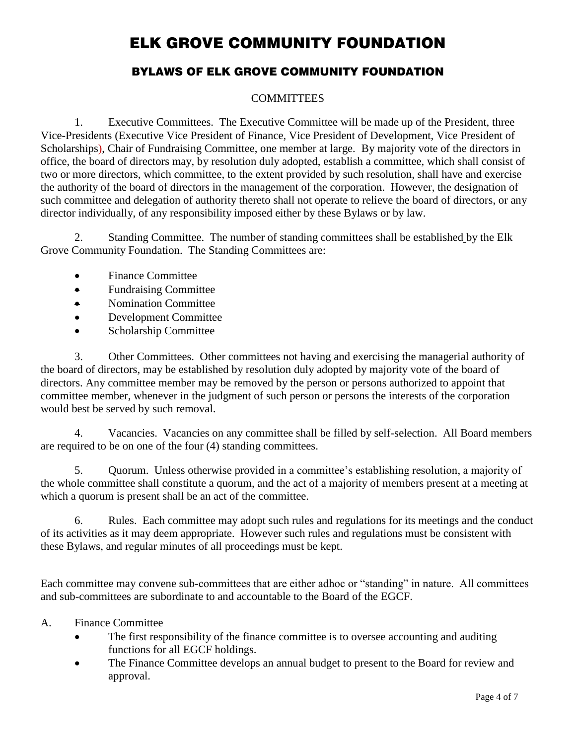# **BYLAWS OF ELK GROVE COMMUNITY FOUNDATION**

## **COMMITTEES**

1. Executive Committees. The Executive Committee will be made up of the President, three Vice-Presidents (Executive Vice President of Finance, Vice President of Development, Vice President of Scholarships), Chair of Fundraising Committee, one member at large. By majority vote of the directors in office, the board of directors may, by resolution duly adopted, establish a committee, which shall consist of two or more directors, which committee, to the extent provided by such resolution, shall have and exercise the authority of the board of directors in the management of the corporation. However, the designation of such committee and delegation of authority thereto shall not operate to relieve the board of directors, or any director individually, of any responsibility imposed either by these Bylaws or by law.

2. Standing Committee. The number of standing committees shall be established by the Elk Grove Community Foundation. The Standing Committees are:

- Finance Committee
- Fundraising Committee
- Nomination Committee
- Development Committee
- Scholarship Committee

3. Other Committees. Other committees not having and exercising the managerial authority of the board of directors, may be established by resolution duly adopted by majority vote of the board of directors. Any committee member may be removed by the person or persons authorized to appoint that committee member, whenever in the judgment of such person or persons the interests of the corporation would best be served by such removal.

4. Vacancies. Vacancies on any committee shall be filled by self-selection. All Board members are required to be on one of the four (4) standing committees.

5. Quorum. Unless otherwise provided in a committee's establishing resolution, a majority of the whole committee shall constitute a quorum, and the act of a majority of members present at a meeting at which a quorum is present shall be an act of the committee.

6. Rules. Each committee may adopt such rules and regulations for its meetings and the conduct of its activities as it may deem appropriate. However such rules and regulations must be consistent with these Bylaws, and regular minutes of all proceedings must be kept.

Each committee may convene sub-committees that are either adhoc or "standing" in nature. All committees and sub-committees are subordinate to and accountable to the Board of the EGCF.

- A. Finance Committee
	- The first responsibility of the finance committee is to oversee accounting and auditing functions for all EGCF holdings.
	- The Finance Committee develops an annual budget to present to the Board for review and approval.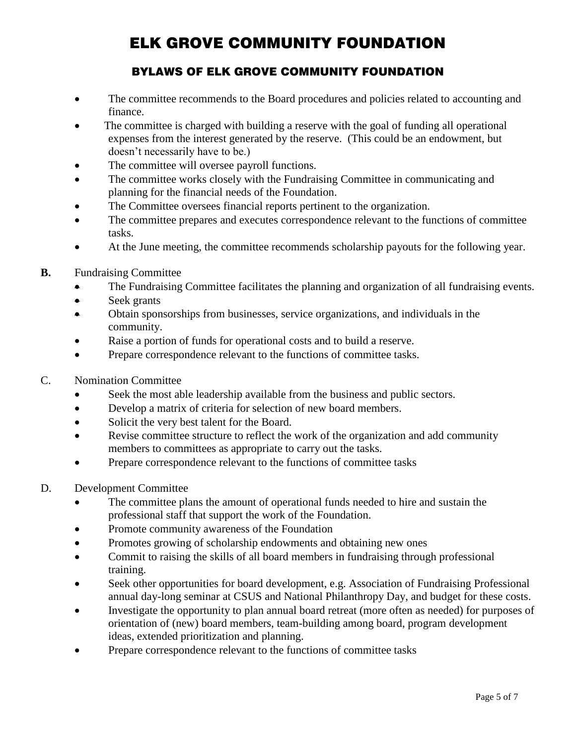# **BYLAWS OF ELK GROVE COMMUNITY FOUNDATION**

- The committee recommends to the Board procedures and policies related to accounting and finance.
- The committee is charged with building a reserve with the goal of funding all operational expenses from the interest generated by the reserve. (This could be an endowment, but doesn't necessarily have to be.)
- The committee will oversee payroll functions.
- The committee works closely with the Fundraising Committee in communicating and planning for the financial needs of the Foundation.
- The Committee oversees financial reports pertinent to the organization.
- The committee prepares and executes correspondence relevant to the functions of committee tasks.
- At the June meeting, the committee recommends scholarship payouts for the following year.
- **B.** Fundraising Committee
	- The Fundraising Committee facilitates the planning and organization of all fundraising events.
	- Seek grants
	- Obtain sponsorships from businesses, service organizations, and individuals in the community.
	- Raise a portion of funds for operational costs and to build a reserve.
	- Prepare correspondence relevant to the functions of committee tasks.
- C. Nomination Committee
	- Seek the most able leadership available from the business and public sectors.
	- Develop a matrix of criteria for selection of new board members.
	- Solicit the very best talent for the Board.
	- Revise committee structure to reflect the work of the organization and add community members to committees as appropriate to carry out the tasks.
	- Prepare correspondence relevant to the functions of committee tasks
- D. Development Committee
	- The committee plans the amount of operational funds needed to hire and sustain the professional staff that support the work of the Foundation.
	- Promote community awareness of the Foundation
	- Promotes growing of scholarship endowments and obtaining new ones
	- Commit to raising the skills of all board members in fundraising through professional training.
	- Seek other opportunities for board development, e.g. Association of Fundraising Professional annual day-long seminar at CSUS and National Philanthropy Day, and budget for these costs.
	- Investigate the opportunity to plan annual board retreat (more often as needed) for purposes of orientation of (new) board members, team-building among board, program development ideas, extended prioritization and planning.
	- Prepare correspondence relevant to the functions of committee tasks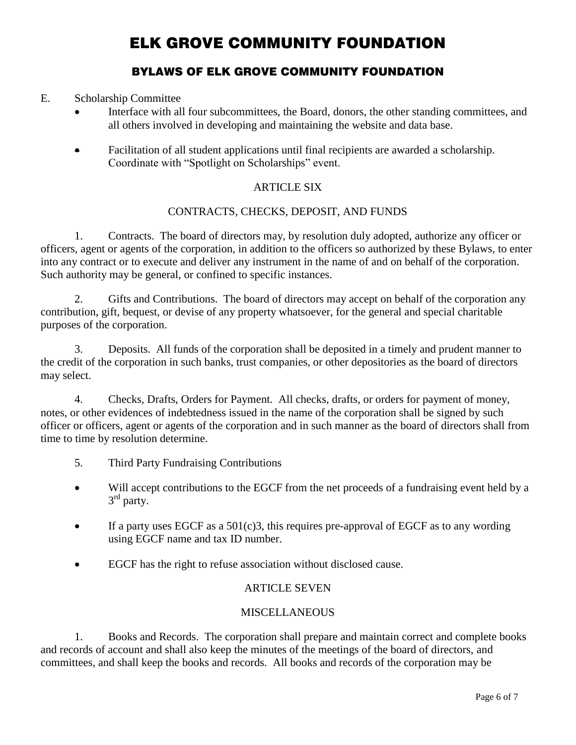# **BYLAWS OF ELK GROVE COMMUNITY FOUNDATION**

### E. Scholarship Committee

- Interface with all four subcommittees, the Board, donors, the other standing committees, and all others involved in developing and maintaining the website and data base.
- Facilitation of all student applications until final recipients are awarded a scholarship. Coordinate with "Spotlight on Scholarships" event.

## ARTICLE SIX

### CONTRACTS, CHECKS, DEPOSIT, AND FUNDS

1. Contracts. The board of directors may, by resolution duly adopted, authorize any officer or officers, agent or agents of the corporation, in addition to the officers so authorized by these Bylaws, to enter into any contract or to execute and deliver any instrument in the name of and on behalf of the corporation. Such authority may be general, or confined to specific instances.

2. Gifts and Contributions. The board of directors may accept on behalf of the corporation any contribution, gift, bequest, or devise of any property whatsoever, for the general and special charitable purposes of the corporation.

3. Deposits. All funds of the corporation shall be deposited in a timely and prudent manner to the credit of the corporation in such banks, trust companies, or other depositories as the board of directors may select.

4. Checks, Drafts, Orders for Payment. All checks, drafts, or orders for payment of money, notes, or other evidences of indebtedness issued in the name of the corporation shall be signed by such officer or officers, agent or agents of the corporation and in such manner as the board of directors shall from time to time by resolution determine.

- 5. Third Party Fundraising Contributions
- Will accept contributions to the EGCF from the net proceeds of a fundraising event held by a 3<sup>rd</sup> party.
- If a party uses EGCF as a  $501(c)3$ , this requires pre-approval of EGCF as to any wording using EGCF name and tax ID number.
- EGCF has the right to refuse association without disclosed cause.

#### ARTICLE SEVEN

#### **MISCELLANEOUS**

1. Books and Records. The corporation shall prepare and maintain correct and complete books and records of account and shall also keep the minutes of the meetings of the board of directors, and committees, and shall keep the books and records. All books and records of the corporation may be